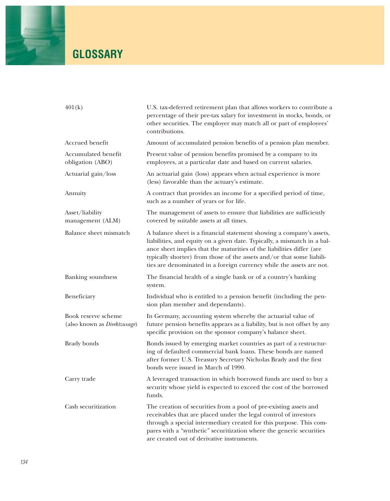

## **GLOSSARY**

| 401(k)                                              | U.S. tax-deferred retirement plan that allows workers to contribute a<br>percentage of their pre-tax salary for investment in stocks, bonds, or<br>other securities. The employer may match all or part of employees'<br>contributions.                                                                                                                                    |
|-----------------------------------------------------|----------------------------------------------------------------------------------------------------------------------------------------------------------------------------------------------------------------------------------------------------------------------------------------------------------------------------------------------------------------------------|
| Accrued benefit                                     | Amount of accumulated pension benefits of a pension plan member.                                                                                                                                                                                                                                                                                                           |
| Accumulated benefit<br>obligation (ABO)             | Present value of pension benefits promised by a company to its<br>employees, at a particular date and based on current salaries.                                                                                                                                                                                                                                           |
| Actuarial gain/loss                                 | An actuarial gain (loss) appears when actual experience is more<br>(less) favorable than the actuary's estimate.                                                                                                                                                                                                                                                           |
| Annuity                                             | A contract that provides an income for a specified period of time,<br>such as a number of years or for life.                                                                                                                                                                                                                                                               |
| Asset/liability<br>management (ALM)                 | The management of assets to ensure that liabilities are sufficiently<br>covered by suitable assets at all times.                                                                                                                                                                                                                                                           |
| Balance sheet mismatch                              | A balance sheet is a financial statement showing a company's assets,<br>liabilities, and equity on a given date. Typically, a mismatch in a bal-<br>ance sheet implies that the maturities of the liabilities differ (are<br>typically shorter) from those of the assets and/or that some liabili-<br>ties are denominated in a foreign currency while the assets are not. |
| <b>Banking soundness</b>                            | The financial health of a single bank or of a country's banking<br>system.                                                                                                                                                                                                                                                                                                 |
| Beneficiary                                         | Individual who is entitled to a pension benefit (including the pen-<br>sion plan member and dependants).                                                                                                                                                                                                                                                                   |
| Book reserve scheme<br>(also known as Direktzusage) | In Germany, accounting system whereby the actuarial value of<br>future pension benefits appears as a liability, but is not offset by any<br>specific provision on the sponsor company's balance sheet.                                                                                                                                                                     |
| <b>Brady</b> bonds                                  | Bonds issued by emerging market countries as part of a restructur-<br>ing of defaulted commercial bank loans. These bonds are named<br>after former U.S. Treasury Secretary Nicholas Brady and the first<br>bonds were issued in March of 1990.                                                                                                                            |
| Carry trade                                         | A leveraged transaction in which borrowed funds are used to buy a<br>security whose yield is expected to exceed the cost of the borrowed<br>funds.                                                                                                                                                                                                                         |
| Cash securitization                                 | The creation of securities from a pool of pre-existing assets and<br>receivables that are placed under the legal control of investors<br>through a special intermediary created for this purpose. This com-<br>pares with a "synthetic" securitization where the generic securities<br>are created out of derivative instruments.                                          |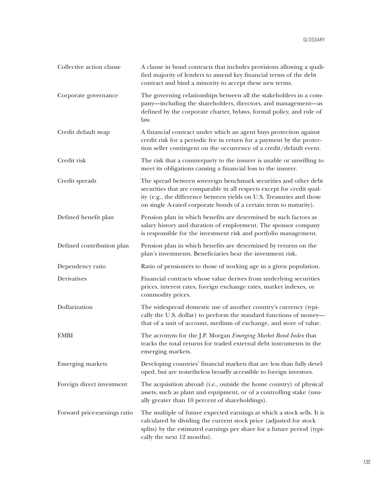| Collective action clause     | A clause in bond contracts that includes provisions allowing a quali-<br>fied majority of lenders to amend key financial terms of the debt<br>contract and bind a minority to accept these new terms.                                                                                    |
|------------------------------|------------------------------------------------------------------------------------------------------------------------------------------------------------------------------------------------------------------------------------------------------------------------------------------|
| Corporate governance         | The governing relationships between all the stakeholders in a com-<br>pany-including the shareholders, directors, and management-as<br>defined by the corporate charter, bylaws, formal policy, and rule of<br>law.                                                                      |
| Credit default swap          | A financial contract under which an agent buys protection against<br>credit risk for a periodic fee in return for a payment by the protec-<br>tion seller contingent on the occurrence of a credit/default event.                                                                        |
| Credit risk                  | The risk that a counterparty to the insurer is unable or unwilling to<br>meet its obligations causing a financial loss to the insurer.                                                                                                                                                   |
| Credit spreads               | The spread between sovereign benchmark securities and other debt<br>securities that are comparable in all respects except for credit qual-<br>ity (e.g., the difference between yields on U.S. Treasuries and those<br>on single A-rated corporate bonds of a certain term to maturity). |
| Defined benefit plan         | Pension plan in which benefits are determined by such factors as<br>salary history and duration of employment. The sponsor company<br>is responsible for the investment risk and portfolio management.                                                                                   |
| Defined contribution plan    | Pension plan in which benefits are determined by returns on the<br>plan's investments. Beneficiaries bear the investment risk.                                                                                                                                                           |
| Dependency ratio             | Ratio of pensioners to those of working age in a given population.                                                                                                                                                                                                                       |
| Derivatives                  | Financial contracts whose value derives from underlying securities<br>prices, interest rates, foreign exchange rates, market indexes, or<br>commodity prices.                                                                                                                            |
| Dollarization                | The widespread domestic use of another country's currency (typi-<br>cally the U.S. dollar) to perform the standard functions of money-<br>that of a unit of account, medium of exchange, and store of value.                                                                             |
| <b>EMBI</b>                  | The acronym for the J.P. Morgan Emerging Market Bond Index that<br>tracks the total returns for traded external debt instruments in the<br>emerging markets.                                                                                                                             |
| Emerging markets             | Developing countries' financial markets that are less than fully devel-<br>oped, but are nonetheless broadly accessible to foreign investors.                                                                                                                                            |
| Foreign direct investment    | The acquisition abroad (i.e., outside the home country) of physical<br>assets, such as plant and equipment, or of a controlling stake (usu-<br>ally greater than 10 percent of shareholdings).                                                                                           |
| Forward price-earnings ratio | The multiple of future expected earnings at which a stock sells. It is<br>calculated by dividing the current stock price (adjusted for stock<br>splits) by the estimated earnings per share for a future period (typi-<br>cally the next 12 months).                                     |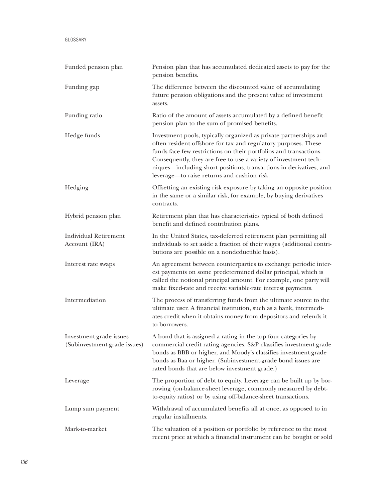## GLOSSARY

| Funded pension plan                                     | Pension plan that has accumulated dedicated assets to pay for the<br>pension benefits.                                                                                                                                                                                                                                                                                                            |
|---------------------------------------------------------|---------------------------------------------------------------------------------------------------------------------------------------------------------------------------------------------------------------------------------------------------------------------------------------------------------------------------------------------------------------------------------------------------|
| Funding gap                                             | The difference between the discounted value of accumulating<br>future pension obligations and the present value of investment<br>assets.                                                                                                                                                                                                                                                          |
| Funding ratio                                           | Ratio of the amount of assets accumulated by a defined benefit<br>pension plan to the sum of promised benefits.                                                                                                                                                                                                                                                                                   |
| Hedge funds                                             | Investment pools, typically organized as private partnerships and<br>often resident offshore for tax and regulatory purposes. These<br>funds face few restrictions on their portfolios and transactions.<br>Consequently, they are free to use a variety of investment tech-<br>niques—including short positions, transactions in derivatives, and<br>leverage-to raise returns and cushion risk. |
| Hedging                                                 | Offsetting an existing risk exposure by taking an opposite position<br>in the same or a similar risk, for example, by buying derivatives<br>contracts.                                                                                                                                                                                                                                            |
| Hybrid pension plan                                     | Retirement plan that has characteristics typical of both defined<br>benefit and defined contribution plans.                                                                                                                                                                                                                                                                                       |
| <b>Individual Retirement</b><br>Account (IRA)           | In the United States, tax-deferred retirement plan permitting all<br>individuals to set aside a fraction of their wages (additional contri-<br>butions are possible on a nondeductible basis).                                                                                                                                                                                                    |
| Interest rate swaps                                     | An agreement between counterparties to exchange periodic inter-<br>est payments on some predetermined dollar principal, which is<br>called the notional principal amount. For example, one party will<br>make fixed-rate and receive variable-rate interest payments.                                                                                                                             |
| Intermediation                                          | The process of transferring funds from the ultimate source to the<br>ultimate user. A financial institution, such as a bank, intermedi-<br>ates credit when it obtains money from depositors and relends it<br>to borrowers.                                                                                                                                                                      |
| Investment-grade issues<br>(Subinvestment-grade issues) | A bond that is assigned a rating in the top four categories by<br>commercial credit rating agencies. S&P classifies investment-grade<br>bonds as BBB or higher, and Moody's classifies investment-grade<br>bonds as Baa or higher. (Subinvestment-grade bond issues are<br>rated bonds that are below investment grade.)                                                                          |
| Leverage                                                | The proportion of debt to equity. Leverage can be built up by bor-<br>rowing (on-balance-sheet leverage, commonly measured by debt-<br>to-equity ratios) or by using off-balance-sheet transactions.                                                                                                                                                                                              |
| Lump sum payment                                        | Withdrawal of accumulated benefits all at once, as opposed to in<br>regular installments.                                                                                                                                                                                                                                                                                                         |
| Mark-to-market                                          | The valuation of a position or portfolio by reference to the most<br>recent price at which a financial instrument can be bought or sold                                                                                                                                                                                                                                                           |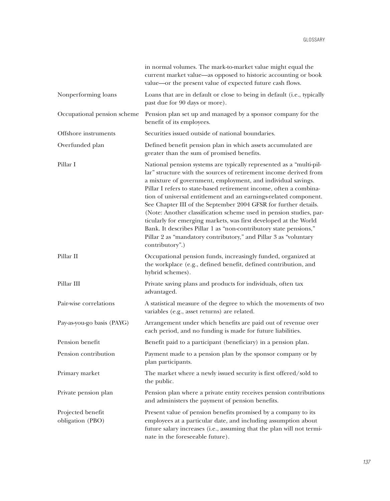|                                       | in normal volumes. The mark-to-market value might equal the<br>current market value-as opposed to historic accounting or book<br>value-or the present value of expected future cash flows.                                                                                                                                                                                                                                                                                                                                                                                                                                                                                                                                  |
|---------------------------------------|-----------------------------------------------------------------------------------------------------------------------------------------------------------------------------------------------------------------------------------------------------------------------------------------------------------------------------------------------------------------------------------------------------------------------------------------------------------------------------------------------------------------------------------------------------------------------------------------------------------------------------------------------------------------------------------------------------------------------------|
| Nonperforming loans                   | Loans that are in default or close to being in default (i.e., typically<br>past due for 90 days or more).                                                                                                                                                                                                                                                                                                                                                                                                                                                                                                                                                                                                                   |
| Occupational pension scheme           | Pension plan set up and managed by a sponsor company for the<br>benefit of its employees.                                                                                                                                                                                                                                                                                                                                                                                                                                                                                                                                                                                                                                   |
| Offshore instruments                  | Securities issued outside of national boundaries.                                                                                                                                                                                                                                                                                                                                                                                                                                                                                                                                                                                                                                                                           |
| Overfunded plan                       | Defined benefit pension plan in which assets accumulated are<br>greater than the sum of promised benefits.                                                                                                                                                                                                                                                                                                                                                                                                                                                                                                                                                                                                                  |
| Pillar I                              | National pension systems are typically represented as a "multi-pil-<br>lar" structure with the sources of retirement income derived from<br>a mixture of government, employment, and individual savings.<br>Pillar I refers to state-based retirement income, often a combina-<br>tion of universal entitlement and an earnings-related component.<br>See Chapter III of the September 2004 GFSR for further details.<br>(Note: Another classification scheme used in pension studies, par-<br>ticularly for emerging markets, was first developed at the World<br>Bank. It describes Pillar 1 as "non-contributory state pensions,"<br>Pillar 2 as "mandatory contributory," and Pillar 3 as "voluntary<br>contributory".) |
| Pillar II                             | Occupational pension funds, increasingly funded, organized at<br>the workplace (e.g., defined benefit, defined contribution, and<br>hybrid schemes).                                                                                                                                                                                                                                                                                                                                                                                                                                                                                                                                                                        |
| Pillar III                            | Private saving plans and products for individuals, often tax<br>advantaged.                                                                                                                                                                                                                                                                                                                                                                                                                                                                                                                                                                                                                                                 |
| Pair-wise correlations                | A statistical measure of the degree to which the movements of two<br>variables (e.g., asset returns) are related.                                                                                                                                                                                                                                                                                                                                                                                                                                                                                                                                                                                                           |
| Pay-as-you-go basis (PAYG)            | Arrangement under which benefits are paid out of revenue over<br>each period, and no funding is made for future liabilities.                                                                                                                                                                                                                                                                                                                                                                                                                                                                                                                                                                                                |
| Pension benefit                       | Benefit paid to a participant (beneficiary) in a pension plan.                                                                                                                                                                                                                                                                                                                                                                                                                                                                                                                                                                                                                                                              |
| Pension contribution                  | Payment made to a pension plan by the sponsor company or by<br>plan participants.                                                                                                                                                                                                                                                                                                                                                                                                                                                                                                                                                                                                                                           |
| Primary market                        | The market where a newly issued security is first offered/sold to<br>the public.                                                                                                                                                                                                                                                                                                                                                                                                                                                                                                                                                                                                                                            |
| Private pension plan                  | Pension plan where a private entity receives pension contributions<br>and administers the payment of pension benefits.                                                                                                                                                                                                                                                                                                                                                                                                                                                                                                                                                                                                      |
| Projected benefit<br>obligation (PBO) | Present value of pension benefits promised by a company to its<br>employees at a particular date, and including assumption about<br>future salary increases (i.e., assuming that the plan will not termi-<br>nate in the foreseeable future).                                                                                                                                                                                                                                                                                                                                                                                                                                                                               |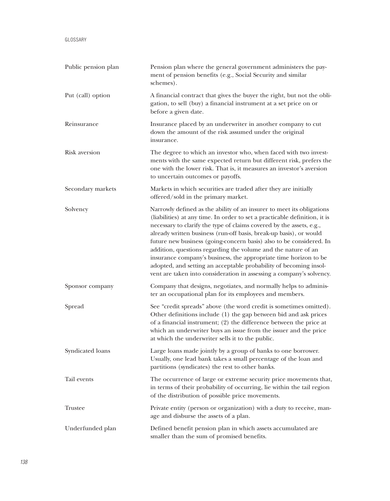| Public pension plan | Pension plan where the general government administers the pay-<br>ment of pension benefits (e.g., Social Security and similar<br>schemes).                                                                                                                                                                                                                                                                                                                                                                                                                                                                                                                 |
|---------------------|------------------------------------------------------------------------------------------------------------------------------------------------------------------------------------------------------------------------------------------------------------------------------------------------------------------------------------------------------------------------------------------------------------------------------------------------------------------------------------------------------------------------------------------------------------------------------------------------------------------------------------------------------------|
| Put (call) option   | A financial contract that gives the buyer the right, but not the obli-<br>gation, to sell (buy) a financial instrument at a set price on or<br>before a given date.                                                                                                                                                                                                                                                                                                                                                                                                                                                                                        |
| Reinsurance         | Insurance placed by an underwriter in another company to cut<br>down the amount of the risk assumed under the original<br>insurance.                                                                                                                                                                                                                                                                                                                                                                                                                                                                                                                       |
| Risk aversion       | The degree to which an investor who, when faced with two invest-<br>ments with the same expected return but different risk, prefers the<br>one with the lower risk. That is, it measures an investor's aversion<br>to uncertain outcomes or payoffs.                                                                                                                                                                                                                                                                                                                                                                                                       |
| Secondary markets   | Markets in which securities are traded after they are initially<br>offered/sold in the primary market.                                                                                                                                                                                                                                                                                                                                                                                                                                                                                                                                                     |
| Solvency            | Narrowly defined as the ability of an insurer to meet its obligations<br>(liabilities) at any time. In order to set a practicable definition, it is<br>necessary to clarify the type of claims covered by the assets, e.g.,<br>already written business (run-off basis, break-up basis), or would<br>future new business (going-concern basis) also to be considered. In<br>addition, questions regarding the volume and the nature of an<br>insurance company's business, the appropriate time horizon to be<br>adopted, and setting an acceptable probability of becoming insol-<br>vent are taken into consideration in assessing a company's solvency. |
| Sponsor company     | Company that designs, negotiates, and normally helps to adminis-<br>ter an occupational plan for its employees and members.                                                                                                                                                                                                                                                                                                                                                                                                                                                                                                                                |
| Spread              | See "credit spreads" above (the word credit is sometimes omitted).<br>Other definitions include (1) the gap between bid and ask prices<br>of a financial instrument; (2) the difference between the price at<br>which an underwriter buys an issue from the issuer and the price<br>at which the underwriter sells it to the public.                                                                                                                                                                                                                                                                                                                       |
| Syndicated loans    | Large loans made jointly by a group of banks to one borrower.<br>Usually, one lead bank takes a small percentage of the loan and<br>partitions (syndicates) the rest to other banks.                                                                                                                                                                                                                                                                                                                                                                                                                                                                       |
| Tail events         | The occurrence of large or extreme security price movements that,<br>in terms of their probability of occurring, lie within the tail region<br>of the distribution of possible price movements.                                                                                                                                                                                                                                                                                                                                                                                                                                                            |
| Trustee             | Private entity (person or organization) with a duty to receive, man-<br>age and disburse the assets of a plan.                                                                                                                                                                                                                                                                                                                                                                                                                                                                                                                                             |
| Underfunded plan    | Defined benefit pension plan in which assets accumulated are<br>smaller than the sum of promised benefits.                                                                                                                                                                                                                                                                                                                                                                                                                                                                                                                                                 |